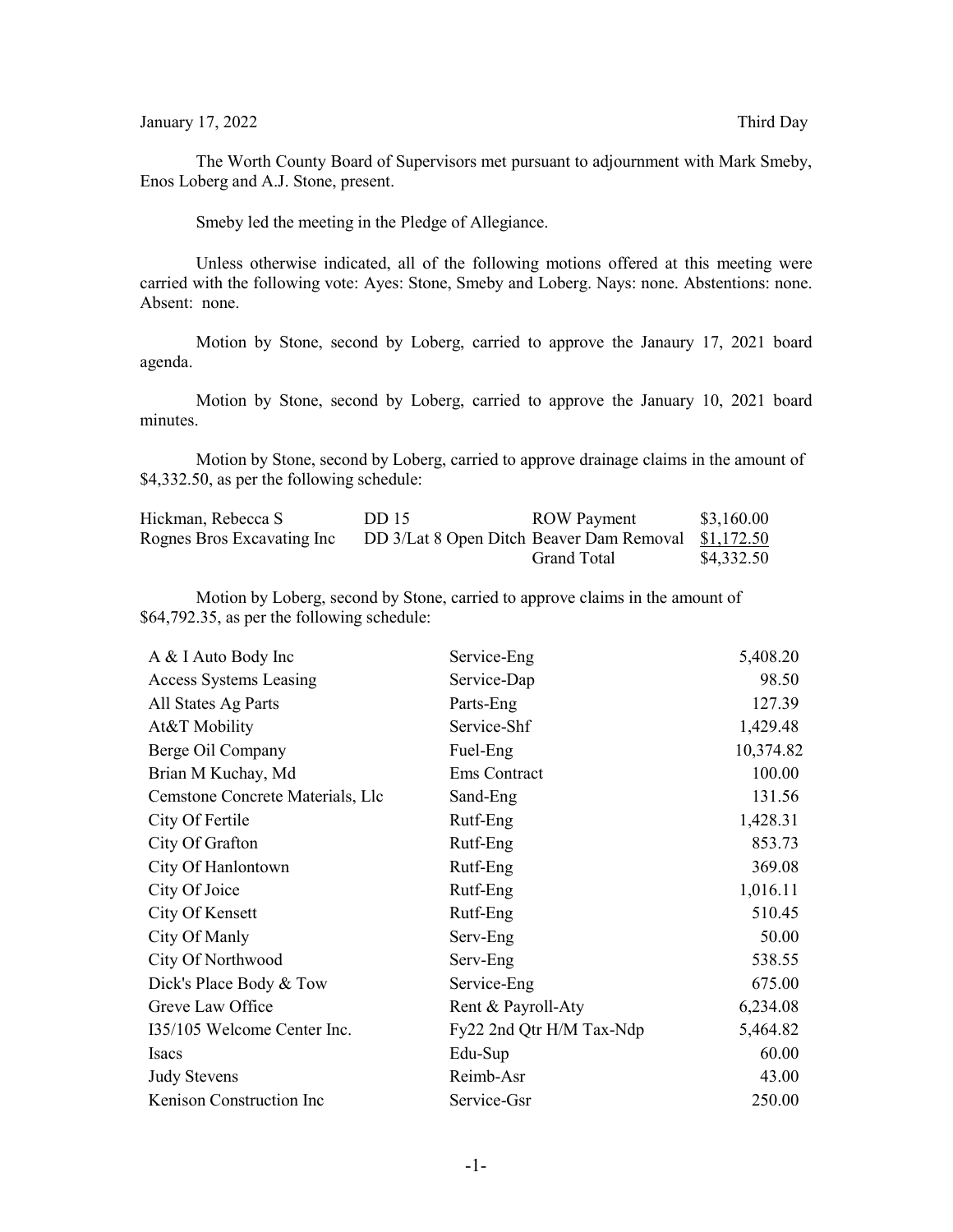The Worth County Board of Supervisors met pursuant to adjournment with Mark Smeby, Enos Loberg and A.J. Stone, present.

Smeby led the meeting in the Pledge of Allegiance.

Unless otherwise indicated, all of the following motions offered at this meeting were carried with the following vote: Ayes: Stone, Smeby and Loberg. Nays: none. Abstentions: none. Absent: none.

Motion by Stone, second by Loberg, carried to approve the Janaury 17, 2021 board agenda.

Motion by Stone, second by Loberg, carried to approve the January 10, 2021 board minutes.

Motion by Stone, second by Loberg, carried to approve drainage claims in the amount of \$4,332.50, as per the following schedule:

| Hickman, Rebecca S         | DD 15                                               | <b>ROW</b> Payment | \$3,160.00 |
|----------------------------|-----------------------------------------------------|--------------------|------------|
| Rognes Bros Excavating Inc | DD 3/Lat 8 Open Ditch Beaver Dam Removal \$1,172.50 |                    |            |
|                            |                                                     | Grand Total        | \$4,332.50 |

Motion by Loberg, second by Stone, carried to approve claims in the amount of \$64,792.35, as per the following schedule:

| A & I Auto Body Inc              | Service-Eng              | 5,408.20  |
|----------------------------------|--------------------------|-----------|
| Access Systems Leasing           | Service-Dap              | 98.50     |
| All States Ag Parts              | Parts-Eng                | 127.39    |
| At&T Mobility                    | Service-Shf              | 1,429.48  |
| Berge Oil Company                | Fuel-Eng                 | 10,374.82 |
| Brian M Kuchay, Md               | Ems Contract             | 100.00    |
| Cemstone Concrete Materials, Llc | Sand-Eng                 | 131.56    |
| City Of Fertile                  | Rutf-Eng                 | 1,428.31  |
| City Of Grafton                  | Rutf-Eng                 | 853.73    |
| City Of Hanlontown               | Rutf-Eng                 | 369.08    |
| City Of Joice                    | Rutf-Eng                 | 1,016.11  |
| City Of Kensett                  | Rutf-Eng                 | 510.45    |
| City Of Manly                    | Serv-Eng                 | 50.00     |
| City Of Northwood                | Serv-Eng                 | 538.55    |
| Dick's Place Body & Tow          | Service-Eng              | 675.00    |
| Greve Law Office                 | Rent & Payroll-Aty       | 6,234.08  |
| 135/105 Welcome Center Inc.      | Fy22 2nd Qtr H/M Tax-Ndp | 5,464.82  |
| Isacs                            | Edu-Sup                  | 60.00     |
| <b>Judy Stevens</b>              | Reimb-Asr                | 43.00     |
| Kenison Construction Inc         | Service-Gsr              | 250.00    |